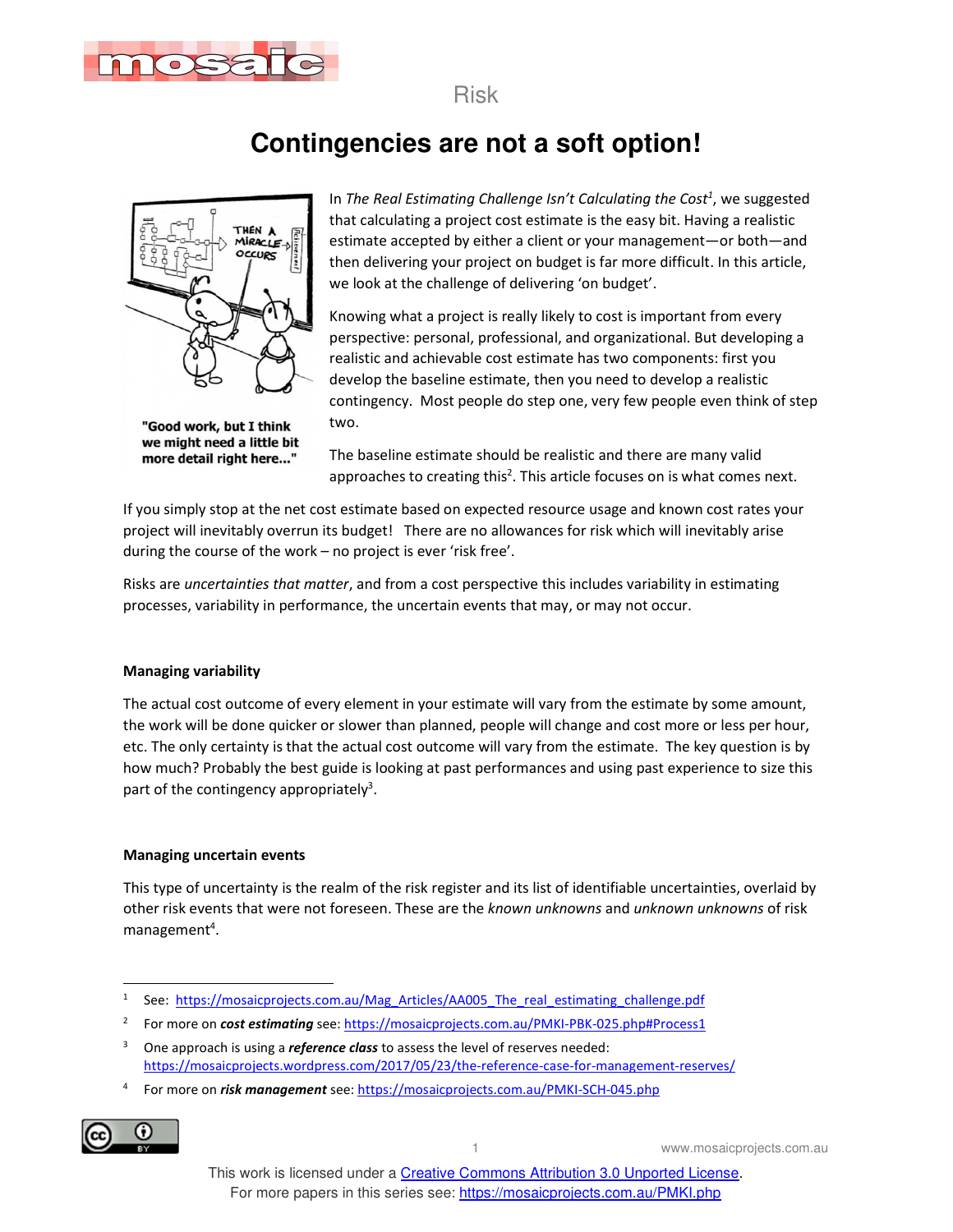

Risk

# **Contingencies are not a soft option!**



In *The Real Estimating Challenge Isn't Calculating the Cost<sup>1</sup>* , we suggested that calculating a project cost estimate is the easy bit. Having a realistic estimate accepted by either a client or your management—or both—and then delivering your project on budget is far more difficult. In this article, we look at the challenge of delivering 'on budget'.

Knowing what a project is really likely to cost is important from every perspective: personal, professional, and organizational. But developing a realistic and achievable cost estimate has two components: first you develop the baseline estimate, then you need to develop a realistic contingency. Most people do step one, very few people even think of step two.

"Good work, but I think we might need a little bit more detail right here..."

The baseline estimate should be realistic and there are many valid approaches to creating this<sup>2</sup>. This article focuses on is what comes next.

If you simply stop at the net cost estimate based on expected resource usage and known cost rates your project will inevitably overrun its budget! There are no allowances for risk which will inevitably arise during the course of the work – no project is ever 'risk free'.

Risks are *uncertainties that matter*, and from a cost perspective this includes variability in estimating processes, variability in performance, the uncertain events that may, or may not occur.

#### **Managing variability**

The actual cost outcome of every element in your estimate will vary from the estimate by some amount, the work will be done quicker or slower than planned, people will change and cost more or less per hour, etc. The only certainty is that the actual cost outcome will vary from the estimate. The key question is by how much? Probably the best guide is looking at past performances and using past experience to size this part of the contingency appropriately<sup>3</sup>.

#### **Managing uncertain events**

This type of uncertainty is the realm of the risk register and its list of identifiable uncertainties, overlaid by other risk events that were not foreseen. These are the *known unknowns* and *unknown unknowns* of risk management<sup>4</sup>.

<sup>4</sup> For more on *risk management* see: https://mosaicprojects.com.au/PMKI-SCH-045.php



1 www.mosaicprojects.com.au

<sup>1</sup> See: https://mosaicprojects.com.au/Mag\_Articles/AA005\_The\_real\_estimating\_challenge.pdf

<sup>2</sup> For more on *cost estimating* see: https://mosaicprojects.com.au/PMKI-PBK-025.php#Process1

<sup>3</sup> One approach is using a *reference class* to assess the level of reserves needed: https://mosaicprojects.wordpress.com/2017/05/23/the-reference-case-for-management-reserves/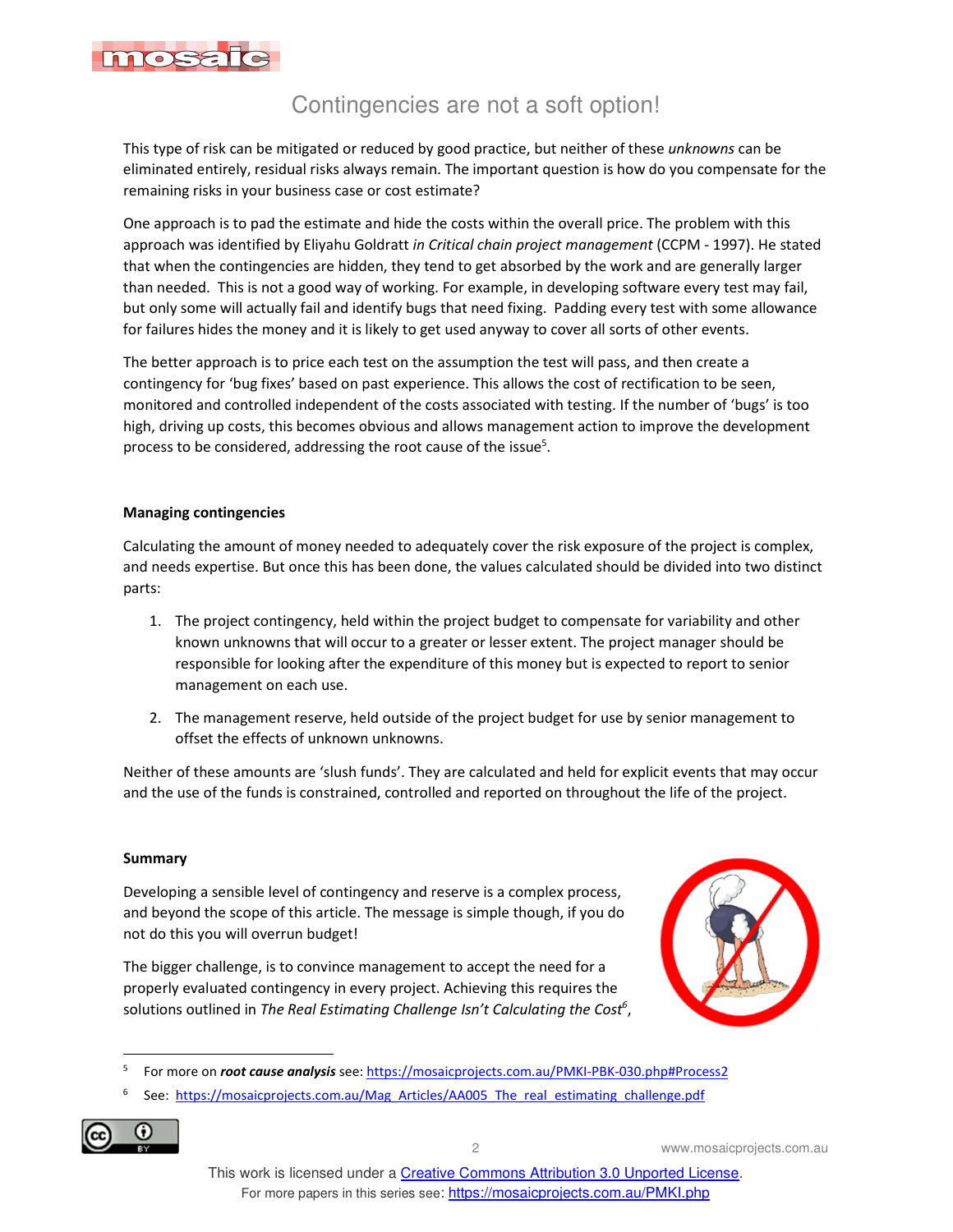

## Contingencies are not a soft option!

This type of risk can be mitigated or reduced by good practice, but neither of these *unknowns* can be eliminated entirely, residual risks always remain. The important question is how do you compensate for the remaining risks in your business case or cost estimate?

One approach is to pad the estimate and hide the costs within the overall price. The problem with this approach was identified by Eliyahu Goldratt *in Critical chain project management* (CCPM - 1997). He stated that when the contingencies are hidden, they tend to get absorbed by the work and are generally larger than needed. This is not a good way of working. For example, in developing software every test may fail, but only some will actually fail and identify bugs that need fixing. Padding every test with some allowance for failures hides the money and it is likely to get used anyway to cover all sorts of other events.

The better approach is to price each test on the assumption the test will pass, and then create a contingency for 'bug fixes' based on past experience. This allows the cost of rectification to be seen, monitored and controlled independent of the costs associated with testing. If the number of 'bugs' is too high, driving up costs, this becomes obvious and allows management action to improve the development process to be considered, addressing the root cause of the issue<sup>5</sup>.

#### **Managing contingencies**

Calculating the amount of money needed to adequately cover the risk exposure of the project is complex, and needs expertise. But once this has been done, the values calculated should be divided into two distinct parts:

- 1. The project contingency, held within the project budget to compensate for variability and other known unknowns that will occur to a greater or lesser extent. The project manager should be responsible for looking after the expenditure of this money but is expected to report to senior management on each use.
- 2. The management reserve, held outside of the project budget for use by senior management to offset the effects of unknown unknowns.

Neither of these amounts are 'slush funds'. They are calculated and held for explicit events that may occur and the use of the funds is constrained, controlled and reported on throughout the life of the project.

#### **Summary**

Developing a sensible level of contingency and reserve is a complex process, and beyond the scope of this article. The message is simple though, if you do not do this you will overrun budget!

The bigger challenge, is to convince management to accept the need for a properly evaluated contingency in every project. Achieving this requires the solutions outlined in *The Real Estimating Challenge Isn't Calculating the Cost<sup>6</sup>* ,



<sup>5</sup> For more on *root cause analysis* see: https://mosaicprojects.com.au/PMKI-PBK-030.php#Process2

<sup>6</sup> See: https://mosaicprojects.com.au/Mag\_Articles/AA005\_The\_real\_estimating\_challenge.pdf



2 www.mosaicprojects.com.au